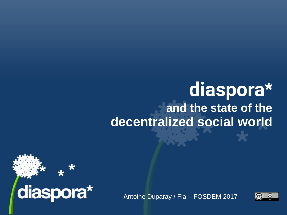## **diaspora\* and the state of the decentralized social world**



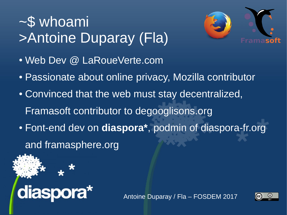# ~\$ whoami >Antoine Duparay (Fla)



- Web Dev @ LaRoueVerte.com
- Passionate about online privacy, Mozilla contributor
- Convinced that the web must stay decentralized, Framasoft contributor to degooglisons.org
- Font-end dev on **diaspora\***, podmin of diaspora-fr.org and framasphere.org



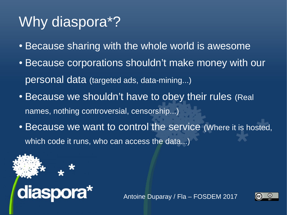# Why diaspora\*?

- Because sharing with the whole world is awesome
- Because corporations shouldn't make money with our personal data (targeted ads, data-mining...)
- Because we shouldn't have to obey their rules (Real names, nothing controversial, censorship...)
- Because we want to control the service (Where it is hosted, which code it runs, who can access the data...)



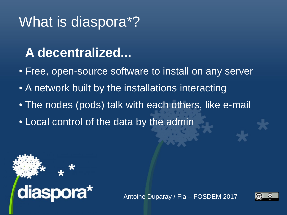#### **A decentralized...**

- Free, open-source software to install on any server
- A network built by the installations interacting
- The nodes (pods) talk with each others, like e-mail
- Local control of the data by the admin



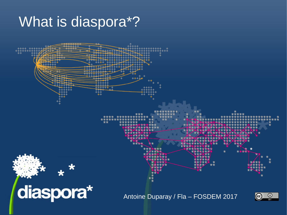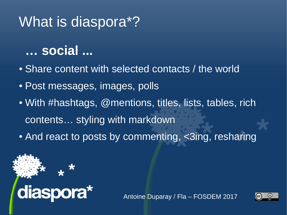#### **… social ...**

- Share content with selected contacts / the world
- Post messages, images, polls
- With #hashtags, @mentions, titles, lists, tables, rich contents… styling with markdown
- And react to posts by commenting, <3ing, resharing



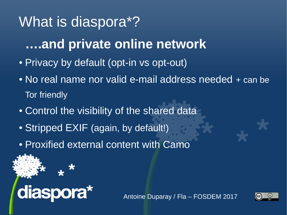### **….and private online network**

- Privacy by default (opt-in vs opt-out)
- No real name nor valid e-mail address needed + can be Tor friendly
- Control the visibility of the shared data
- Stripped EXIF (again, by default!)
- Proxified external content with Camo



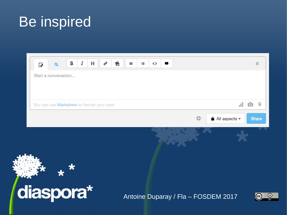## **Be inspired**

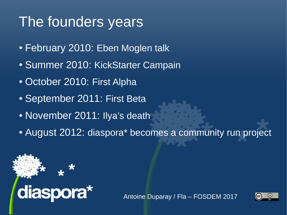# The founders years

- February 2010: Eben Moglen talk
- Summer 2010: KickStarter Campain
- October 2010: First Alpha
- September 2011: First Beta
- November 2011: Ilya's death
- August 2012: diaspora\* becomes a community run project



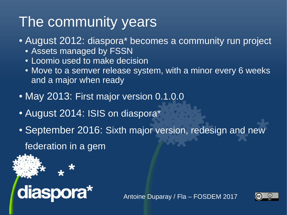# The community years

- August 2012: diaspora\* becomes a community run project
	- Assets managed by FSSN
	- Loomio used to make decision
	- Move to a semver release system, with a minor every 6 weeks and a major when ready
- May 2013: First major version 0.1.0.0
- August 2014: ISIS on diaspora\*
- September 2016: Sixth major version, redesign and new

federation in a gem



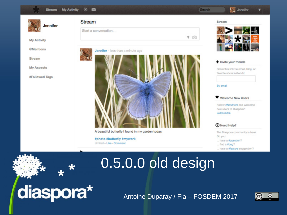

A beautiful butterfly I found in my garden today.

#photo #butterfly #mywork

Limited - Like - Comment

Learn more

#### **7** Need Help?

The Diaspora community is here! Do you:

... have a #question?

... find a #bug?

... have a #feature suggestion?

### 0.5.0.0 old design

Antoine Duparay / Fla - FOSDEM 2017



diaspora\*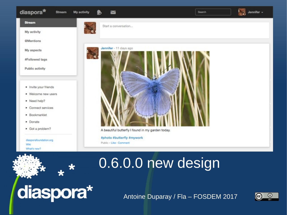#### diaspora\* Stream My activity  $\sim$ Search **Stream** Start a conversation... My activity

**@Mentions** 

My aspects

#Followed tags

Public activity

- Invite your friends
- Welcome new users
- Need help?
- Connect services
- · Bookmarklet
- Donate
- Got a problem?

diasporafoundation.org Wiki What's new?



A beautiful butterfly I found in my garden today.

#photo #butterfly #mywork Public - Like - Comment

diaspora\*

Antoine Duparay / Fla - FOSDEM 2017

0.6.0.0 new design



Jennifer -

LS.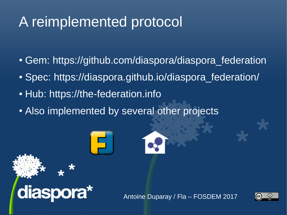# A reimplemented protocol

- Gem: https://github.com/diaspora/diaspora federation
- Spec: https://diaspora.github.io/diaspora federation/
- Hub: [https://the-federation.info](https://the-federation.info/)

diaspora\*

• Also implemented by several other projects



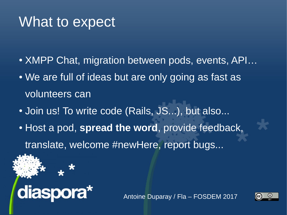#### What to expect

- XMPP Chat, migration between pods, events, API...
- We are full of ideas but are only going as fast as volunteers can
- Join us! To write code (Rails, JS...), but also...
- Host a pod, spread the word, provide feedback, translate, welcome #newHere, report bugs...